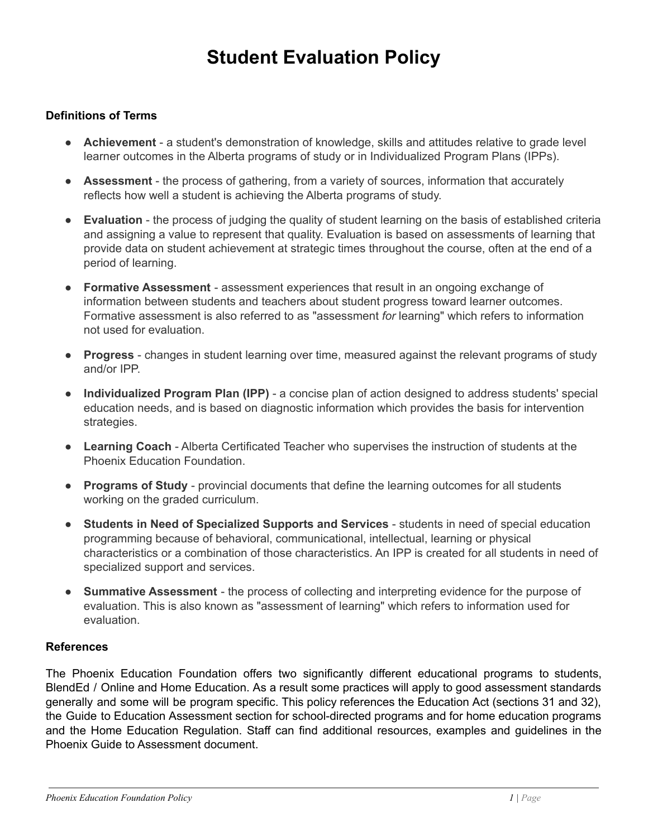# **Student Evaluation Policy**

# **Definitions of Terms**

- **Achievement** a student's demonstration of knowledge, skills and attitudes relative to grade level learner outcomes in the Alberta programs of study or in Individualized Program Plans (IPPs).
- **Assessment** the process of gathering, from a variety of sources, information that accurately reflects how well a student is achieving the Alberta programs of study.
- **Evaluation** the process of judging the quality of student learning on the basis of established criteria and assigning a value to represent that quality. Evaluation is based on assessments of learning that provide data on student achievement at strategic times throughout the course, often at the end of a period of learning.
- **Formative Assessment** assessment experiences that result in an ongoing exchange of information between students and teachers about student progress toward learner outcomes. Formative assessment is also referred to as "assessment *for* learning" which refers to information not used for evaluation.
- **Progress** changes in student learning over time, measured against the relevant programs of study and/or IPP.
- **Individualized Program Plan (IPP)** a concise plan of action designed to address students' special education needs, and is based on diagnostic information which provides the basis for intervention strategies.
- **Learning Coach** Alberta Certificated Teacher who supervises the instruction of students at the Phoenix Education Foundation.
- **Programs of Study** provincial documents that define the learning outcomes for all students working on the graded curriculum.
- **Students in Need of Specialized Supports and Services** students in need of special education programming because of behavioral, communicational, intellectual, learning or physical characteristics or a combination of those characteristics. An IPP is created for all students in need of specialized support and services.
- **Summative Assessment** the process of collecting and interpreting evidence for the purpose of evaluation. This is also known as "assessment of learning" which refers to information used for evaluation.

#### **References**

The Phoenix Education Foundation offers two significantly different educational programs to students, BlendEd / Online and Home Education. As a result some practices will apply to good assessment standards generally and some will be program specific. This policy references the Education Act (sections 31 and 32), the Guide to Education Assessment section for school-directed programs and for home education programs and the Home Education Regulation. Staff can find additional resources, examples and guidelines in the Phoenix Guide to Assessment document.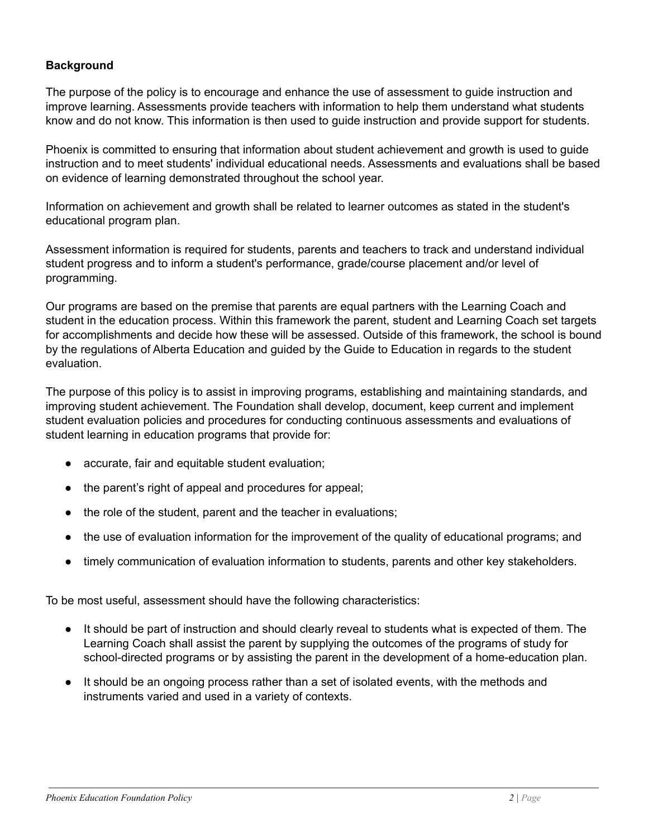# **Background**

The purpose of the policy is to encourage and enhance the use of assessment to guide instruction and improve learning. Assessments provide teachers with information to help them understand what students know and do not know. This information is then used to guide instruction and provide support for students.

Phoenix is committed to ensuring that information about student achievement and growth is used to guide instruction and to meet students' individual educational needs. Assessments and evaluations shall be based on evidence of learning demonstrated throughout the school year.

Information on achievement and growth shall be related to learner outcomes as stated in the student's educational program plan.

Assessment information is required for students, parents and teachers to track and understand individual student progress and to inform a student's performance, grade/course placement and/or level of programming.

Our programs are based on the premise that parents are equal partners with the Learning Coach and student in the education process. Within this framework the parent, student and Learning Coach set targets for accomplishments and decide how these will be assessed. Outside of this framework, the school is bound by the regulations of Alberta Education and guided by the Guide to Education in regards to the student evaluation.

The purpose of this policy is to assist in improving programs, establishing and maintaining standards, and improving student achievement. The Foundation shall develop, document, keep current and implement student evaluation policies and procedures for conducting continuous assessments and evaluations of student learning in education programs that provide for:

- accurate, fair and equitable student evaluation;
- the parent's right of appeal and procedures for appeal;
- the role of the student, parent and the teacher in evaluations;
- the use of evaluation information for the improvement of the quality of educational programs; and
- timely communication of evaluation information to students, parents and other key stakeholders.

To be most useful, assessment should have the following characteristics:

- It should be part of instruction and should clearly reveal to students what is expected of them. The Learning Coach shall assist the parent by supplying the outcomes of the programs of study for school-directed programs or by assisting the parent in the development of a home-education plan.
- It should be an ongoing process rather than a set of isolated events, with the methods and instruments varied and used in a variety of contexts.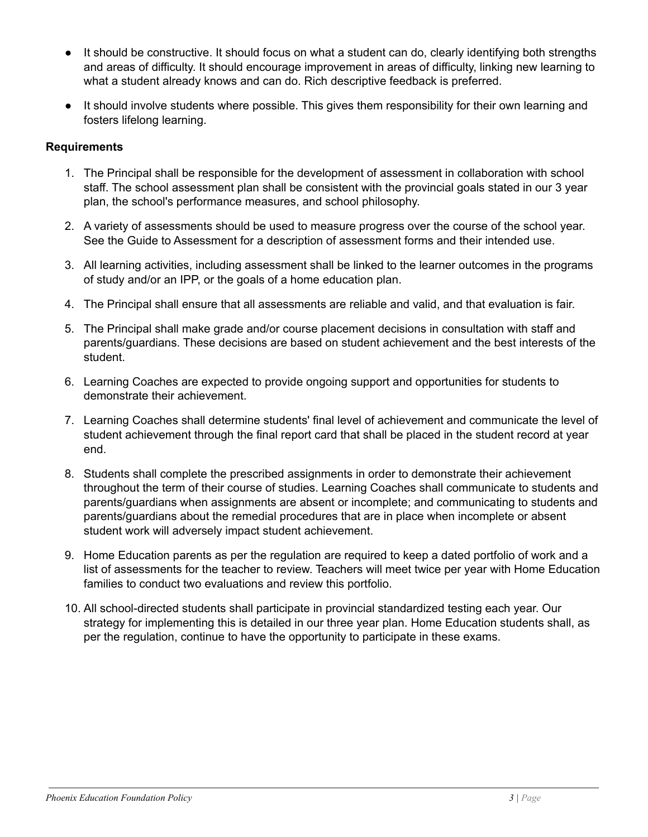- It should be constructive. It should focus on what a student can do, clearly identifying both strengths and areas of difficulty. It should encourage improvement in areas of difficulty, linking new learning to what a student already knows and can do. Rich descriptive feedback is preferred.
- It should involve students where possible. This gives them responsibility for their own learning and fosters lifelong learning.

# **Requirements**

- 1. The Principal shall be responsible for the development of assessment in collaboration with school staff. The school assessment plan shall be consistent with the provincial goals stated in our 3 year plan, the school's performance measures, and school philosophy.
- 2. A variety of assessments should be used to measure progress over the course of the school year. See the Guide to Assessment for a description of assessment forms and their intended use.
- 3. All learning activities, including assessment shall be linked to the learner outcomes in the programs of study and/or an IPP, or the goals of a home education plan.
- 4. The Principal shall ensure that all assessments are reliable and valid, and that evaluation is fair.
- 5. The Principal shall make grade and/or course placement decisions in consultation with staff and parents/guardians. These decisions are based on student achievement and the best interests of the student.
- 6. Learning Coaches are expected to provide ongoing support and opportunities for students to demonstrate their achievement.
- 7. Learning Coaches shall determine students' final level of achievement and communicate the level of student achievement through the final report card that shall be placed in the student record at year end.
- 8. Students shall complete the prescribed assignments in order to demonstrate their achievement throughout the term of their course of studies. Learning Coaches shall communicate to students and parents/guardians when assignments are absent or incomplete; and communicating to students and parents/guardians about the remedial procedures that are in place when incomplete or absent student work will adversely impact student achievement.
- 9. Home Education parents as per the regulation are required to keep a dated portfolio of work and a list of assessments for the teacher to review. Teachers will meet twice per year with Home Education families to conduct two evaluations and review this portfolio.
- 10. All school-directed students shall participate in provincial standardized testing each year. Our strategy for implementing this is detailed in our three year plan. Home Education students shall, as per the regulation, continue to have the opportunity to participate in these exams.